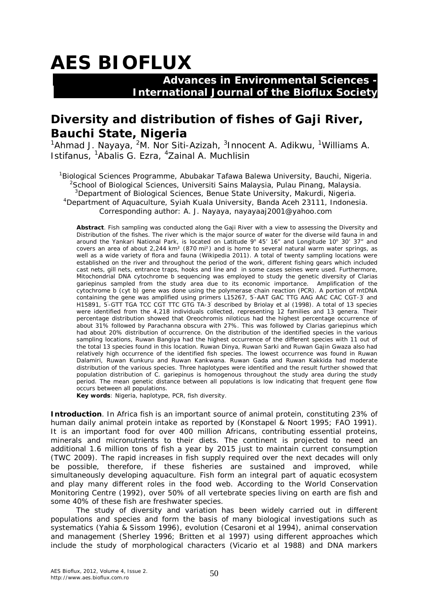# **AES BIOFLUX**

### **Advances in Environmental Sciences - International Journal of the Bioflux Society**

## **Diversity and distribution of fishes of Gaji River, Bauchi State, Nigeria**

<sup>1</sup>Ahmad J. Nayaya, <sup>2</sup>M. Nor Siti-Azizah, <sup>3</sup>Innocent A. Adikwu, <sup>1</sup>Williams A. Istifanus, <sup>1</sup>Abalis G. Ezra, <sup>4</sup>Zainal A. Muchlisin

<sup>1</sup>Biological Sciences Programme, Abubakar Tafawa Balewa University, Bauchi, Nigeria. <sup>2</sup>School of Biological Sciences, Universiti Sains Malaysia, Pulau Pinang, Malaysia. <sup>3</sup>Department of Biological Sciences, Benue State University, Makurdi, Nigeria. <sup>4</sup>Department of Aquaculture, Syiah Kuala University, Banda Aceh 23111, Indonesia. Corresponding author: A. J. Nayaya, nayayaaj2001@yahoo.com

**Abstract**. Fish sampling was conducted along the Gaji River with a view to assessing the Diversity and Distribution of the fishes. The river which is the major source of water for the diverse wild fauna in and around the Yankari National Park, is located on Latitude 9° 45' 16" and Longitude 10° 30' 37" and covers an area of about 2,244 km² (870 mi²) and is home to several natural warm water springs, as well as a wide variety of flora and fauna (Wikipedia 2011). A total of twenty sampling locations were established on the river and throughout the period of the work, different fishing gears which included cast nets, gill nets, entrance traps, hooks and line and in some cases seines were used. Furthermore, Mitochondrial DNA cytochrome b sequencing was employed to study the genetic diversity of *Clarias gariepinus* sampled from the study area due to its economic importance. Amplification of the cytochrome b (cyt b) gene was done using the polymerase chain reaction (PCR). A portion of mtDNA containing the gene was amplified using primers L15267, 5-AAT GAC TTG AAG AAC CAC CGT-3' and H15891, 5-GTT TGA TCC CGT TTC GTG TA-3<sup>'</sup> described by Briolay et al (1998). A total of 13 species were identified from the 4,218 individuals collected, representing 12 families and 13 genera. Their percentage distribution showed that *Oreochromis niloticus* had the highest percentage occurrence of about 31% followed by *Parachanna obscura* with 27%. This was followed by *Clarias gariepinus* which had about 20% distribution of occurrence*.* On the distribution of the identified species in the various sampling locations, Ruwan Bangiya had the highest occurrence of the different species with 11 out of the total 13 species found in this location. Ruwan Dinya, Ruwan Sarki and Ruwan Gajin Gwaza also had relatively high occurrence of the identified fish species. The lowest occurrence was found in Ruwan Dalamiri, Ruwan Kunkuru and Ruwan Kankwana. Ruwan Gada and Ruwan Kakkida had moderate distribution of the various species. Three haplotypes were identified and the result further showed that population distribution of *C. gariepinus* is homogenous throughout the study area during the study period. The mean genetic distance between all populations is low indicating that frequent gene flow occurs between all populations.

**Key words**: Nigeria, haplotype, PCR, fish diversity.

**Introduction**. In Africa fish is an important source of animal protein, constituting 23% of human daily animal protein intake as reported by (Konstapel & Noort 1995; FAO 1991). It is an important food for over 400 million Africans, contributing essential proteins, minerals and micronutrients to their diets. The continent is projected to need an additional 1.6 million tons of fish a year by 2015 just to maintain current consumption (TWC 2009). The rapid increases in fish supply required over the next decades will only be possible, therefore, if these fisheries are sustained and improved, while simultaneously developing aquaculture. Fish form an integral part of aquatic ecosystem and play many different roles in the food web. According to the World Conservation Monitoring Centre (1992), over 50% of all vertebrate species living on earth are fish and some 40% of these fish are freshwater species.

The study of diversity and variation has been widely carried out in different populations and species and form the basis of many biological investigations such as systematics (Yahia & Sissom 1996), evolution (Cesaroni et al 1994), animal conservation and management (Sherley 1996; Britten et al 1997) using different approaches which include the study of morphological characters (Vicario et al 1988) and DNA markers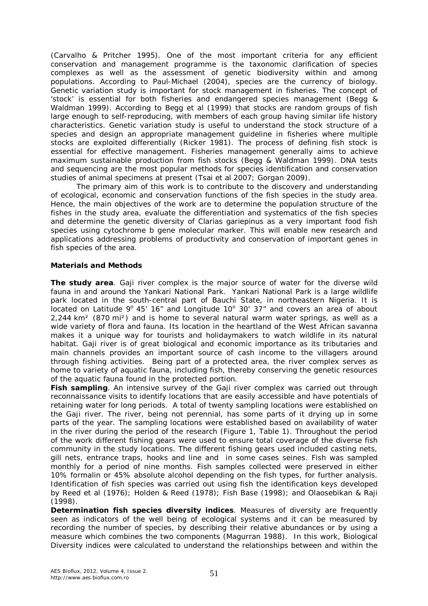(Carvalho & Pritcher 1995). One of the most important criteria for any efficient conservation and management programme is the taxonomic clarification of species complexes as well as the assessment of genetic biodiversity within and among populations. According to Paul-Michael (2004), species are the currency of biology. Genetic variation study is important for stock management in fisheries. The concept of 'stock' is essential for both fisheries and endangered species management (Begg & Waldman 1999). According to Begg et al (1999) that stocks are random groups of fish large enough to self-reproducing, with members of each group having similar life history characteristics. Genetic variation study is useful to understand the stock structure of a species and design an appropriate management guideline in fisheries where multiple stocks are exploited differentially (Ricker 1981). The process of defining fish stock is essential for effective management. Fisheries management generally aims to achieve maximum sustainable production from fish stocks (Begg & Waldman 1999). DNA tests and sequencing are the most popular methods for species identification and conservation studies of animal specimens at present (Tsai et al 2007; Gorgan 2009).

The primary aim of this work is to contribute to the discovery and understanding of ecological, economic and conservation functions of the fish species in the study area. Hence, the main objectives of the work are to determine the population structure of the fishes in the study area, evaluate the differentiation and systematics of the fish species and determine the genetic diversity of *Clarias gariepinus* as a very important food fish species using cytochrome b gene molecular marker. This will enable new research and applications addressing problems of productivity and conservation of important genes in fish species of the area.

#### **Materials and Methods**

**The study area**. Gaji river complex is the major source of water for the diverse wild fauna in and around the Yankari National Park. Yankari National Park is a large wildlife park located in the south-central part of Bauchi State, in northeastern Nigeria. It is located on Latitude  $9^{\circ}$  45' 16" and Longitude 10 $^{\circ}$  30' 37" and covers an area of about 2,244 km² (870 mi²) and is home to several natural warm water springs, as well as a wide variety of flora and fauna. Its location in the heartland of the West African savanna makes it a unique way for tourists and holidaymakers to watch wildlife in its natural habitat. Gaji river is of great biological and economic importance as its tributaries and main channels provides an important source of cash income to the villagers around through fishing activities. Being part of a protected area, the river complex serves as home to variety of aquatic fauna, including fish, thereby conserving the genetic resources of the aquatic fauna found in the protected portion.

*Fish sampling.* An intensive survey of the Gaji river complex was carried out through reconnaissance visits to identify locations that are easily accessible and have potentials of retaining water for long periods. A total of twenty sampling locations were established on the Gaji river. The river, being not perennial, has some parts of it drying up in some parts of the year. The sampling locations were established based on availability of water in the river during the period of the research (Figure 1, Table 1). Throughout the period of the work different fishing gears were used to ensure total coverage of the diverse fish community in the study locations. The different fishing gears used included casting nets, gill nets, entrance traps, hooks and line and in some cases seines. Fish was sampled monthly for a period of nine months. Fish samples collected were preserved in either 10% formalin or 45% absolute alcohol depending on the fish types, for further analysis. Identification of fish species was carried out using fish the identification keys developed by Reed et al (1976); Holden & Reed (1978); Fish Base (1998); and Olaosebikan & Raji (1998).

*Determination fish species diversity indices.* Measures of diversity are frequently seen as indicators of the well being of ecological systems and it can be measured by recording the number of species, by describing their relative abundances or by using a measure which combines the two components (Magurran 1988). In this work, Biological Diversity indices were calculated to understand the relationships between and within the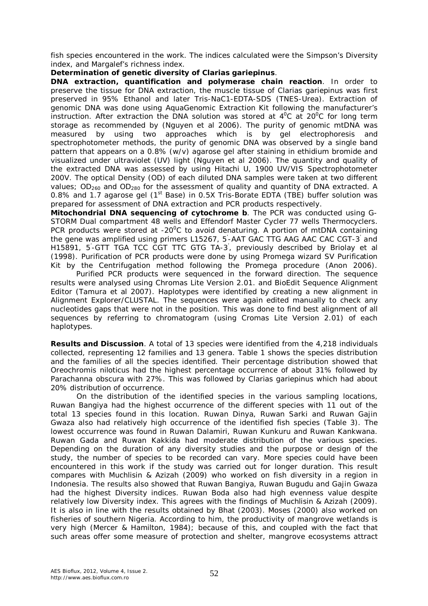fish species encountered in the work. The indices calculated were the Simpson's Diversity index, and Margalef's richness index.

#### *Determination of genetic diversity of Clarias gariepinus.*

*DNA extraction, quantification and polymerase chain reaction.* In order to preserve the tissue for DNA extraction, the muscle tissue of Clarias gariepinus was first preserved in 95% Ethanol and later Tris-NaC1-EDTA-SDS (TNES-Urea). Extraction of genomic DNA was done using AquaGenomic Extraction Kit following the manufacturer's instruction. After extraction the DNA solution was stored at  $4^{\circ}$ C at  $20^{\circ}$ C for long term storage as recommended by (Nguyen et al 2006). The purity of genomic mtDNA was measured by using two approaches which is by gel electrophoresis and spectrophotometer methods, the purity of genomic DNA was observed by a single band pattern that appears on a 0.8% (w/v) agarose gel after staining in ethidium bromide and visualized under ultraviolet (UV) light (Nguyen et al 2006). The quantity and quality of the extracted DNA was assessed by using Hitachi U, 1900 UV/VIS Spectrophotometer 200V. The optical Density (OD) of each diluted DNA samples were taken at two different values;  $OD<sub>260</sub>$  and  $OD<sub>280</sub>$  for the assessment of quality and quantity of DNA extracted. A 0.8% and 1.7 agarose gel (1<sup>st</sup> Base) in 0.5X Tris-Borate EDTA (TBE) buffer solution was prepared for assessment of DNA extraction and PCR products respectively.

*Mitochondrial DNA sequencing of cytochrome b.* The PCR was conducted using G-STORM Dual compartment 48 wells and Effendorf Master Cycler 77 wells Thermocyclers. PCR products were stored at -20 $\degree$ C to avoid denaturing. A portion of mtDNA containing the gene was amplified using primers L15267, 5-AAT GAC TTG AAG AAC CAC CGT-3' and H15891, 5-GTT TGA TCC CGT TTC GTG TA-3, previously described by Briolay et al (1998). Purification of PCR products were done by using Promega wizard SV Purification Kit by the Centrifugation method following the Promega procedure (Anon 2006).

Purified PCR products were sequenced in the forward direction. The sequence results were analysed using Chromas Lite Version 2.01. and BioEdit Sequence Alignment Editor (Tamura et al 2007). Haplotypes were identified by creating a new alignment in Alignment Explorer/CLUSTAL. The sequences were again edited manually to check any nucleotides gaps that were not in the position. This was done to find best alignment of all sequences by referring to chromatogram (using Cromas Lite Version 2.01) of each haplotypes.

**Results and Discussion**. A total of 13 species were identified from the 4,218 individuals collected, representing 12 families and 13 genera. Table 1 shows the species distribution and the families of all the species identified. Their percentage distribution showed that *Oreochromis niloticus* had the highest percentage occurrence of about 31% followed by *Parachanna obscura* with 27%. This was followed by *Clarias gariepinus* which had about 20% distribution of occurrence*.*

On the distribution of the identified species in the various sampling locations, Ruwan Bangiya had the highest occurrence of the different species with 11 out of the total 13 species found in this location. Ruwan Dinya, Ruwan Sarki and Ruwan Gajin Gwaza also had relatively high occurrence of the identified fish species (Table 3). The lowest occurrence was found in Ruwan Dalamiri, Ruwan Kunkuru and Ruwan Kankwana. Ruwan Gada and Ruwan Kakkida had moderate distribution of the various species. Depending on the duration of any diversity studies and the purpose or design of the study, the number of species to be recorded can vary. More species could have been encountered in this work if the study was carried out for longer duration. This result compares with Muchlisin & Azizah (2009) who worked on fish diversity in a region in Indonesia. The results also showed that Ruwan Bangiya, Ruwan Bugudu and Gajin Gwaza had the highest Diversity indices. Ruwan Boda also had high evenness value despite relatively low Diversity index. This agrees with the findings of Muchlisin & Azizah (2009). It is also in line with the results obtained by Bhat (2003). Moses (2000) also worked on fisheries of southern Nigeria. According to him, the productivity of mangrove wetlands is very high (Mercer & Hamilton, 1984); because of this, and coupled with the fact that such areas offer some measure of protection and shelter, mangrove ecosystems attract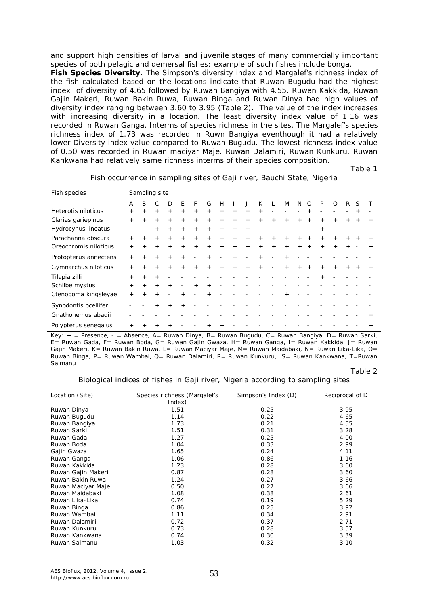and support high densities of larval and juvenile stages of many commercially important species of both pelagic and demersal fishes; example of such fishes include bonga.

*Fish Species Diversity.* The Simpson's diversity index and Margalef's richness index of the fish calculated based on the locations indicate that Ruwan Bugudu had the highest index of diversity of 4.65 followed by Ruwan Bangiya with 4.55. Ruwan Kakkida, Ruwan Gajin Makeri, Ruwan Bakin Ruwa, Ruwan Binga and Ruwan Dinya had high values of diversity index ranging between 3.60 to 3.95 (Table 2). The value of the index increases with increasing diversity in a location. The least diversity index value of 1.16 was recorded in Ruwan Ganga. Interms of species richness in the sites, The Margalef's species richness index of 1.73 was recorded in Ruwn Bangiya eventhough it had a relatively lower Diversity index value compared to Ruwan Bugudu. The lowest richness index value of 0.50 was recorded in Ruwan maciyar Maje. Ruwan Dalamiri, Ruwan Kunkuru, Ruwan Kankwana had relatively same richness interms of their species composition.

Table 1

| Fish species          | Sampling site |           |        |        |        |           |        |        |        |        |           |        |           |        |        |                |        |        |   |        |
|-----------------------|---------------|-----------|--------|--------|--------|-----------|--------|--------|--------|--------|-----------|--------|-----------|--------|--------|----------------|--------|--------|---|--------|
|                       | A             | B         | C      | D      | E      | F         | G      | н      |        |        | К         |        | M         | N      | O      | P              | Q      | R      | S |        |
| Heterotis niloticus   | $^{+}$        | $^{+}$    | $^{+}$ | $^{+}$ | $^{+}$ |           | $^{+}$ |        |        | $^{+}$ | $^{+}$    |        |           |        |        |                |        |        |   |        |
| Clarias gariepinus    | $^{+}$        | $\ddot{}$ | $+$    | $+$    | $^{+}$ | $\ddot{}$ | $+$    | $^{+}$ | $+$    | $+$    | $\ddot{}$ | $+$    | $\ddot{}$ |        |        | $\overline{+}$ | $^{+}$ |        |   |        |
| Hydrocynus lineatus   |               |           | $^{+}$ | $^{+}$ | $^{+}$ | $^{+}$    | $^{+}$ | $^{+}$ | $^{+}$ | $^{+}$ |           |        |           |        |        |                |        |        |   |        |
| Parachanna obscura    | $^{+}$        | $^{+}$    | $^{+}$ | $^{+}$ | $^{+}$ | $^{+}$    | $^{+}$ | $^{+}$ | $^{+}$ | $^{+}$ | $^{+}$    | $^{+}$ | $^{+}$    | $^{+}$ | $^{+}$ | $^{+}$         | $^{+}$ | $^{+}$ |   | $^{+}$ |
| Oreochromis niloticus | $^{+}$        | $^{+}$    | $+$    | $+$    | $+$    | $+$       | $+$    | $+$    | $^{+}$ | $^{+}$ | $^{+}$    | $^{+}$ | $^{+}$    | $+$    | $+$    | $^{+}$         | $^{+}$ |        |   |        |
| Protopterus annectens | $^{+}$        | $\ddot{}$ | $+$    | $+$    | $^{+}$ |           | $+$    |        |        |        |           |        |           |        |        |                |        |        |   |        |
| Gymnarchus niloticus  | $^{+}$        | $\ddot{}$ | $+$    | $+$    | $+$    | $+$       | $+$    | $+$    | $+$    | $+$    | $^{+}$    |        | $+$       | $^{+}$ | $+$    | $^{+}$         | $^{+}$ | $^{+}$ |   | $^{+}$ |
| Tilapia zilli         | $^{+}$        | $^{+}$    | $+$    |        |        |           |        |        |        |        |           |        |           |        |        |                |        |        |   |        |
| Schilbe mystus        | $^{+}$        | $^{+}$    | $+$    | $^{+}$ |        |           | $^{+}$ |        |        |        |           |        |           |        |        |                |        |        |   |        |
| Ctenopoma kingsleyae  | $^{+}$        | $^{+}$    | $^{+}$ |        |        |           |        |        |        |        |           |        |           |        |        |                |        |        |   |        |
| Synodontis ocellifer  |               |           |        |        |        |           |        |        |        |        |           |        |           |        |        |                |        |        |   |        |
| Gnathonemus abadii    |               |           |        |        |        |           |        |        |        |        |           |        |           |        |        |                |        |        |   |        |
| Polypterus senegalus  | $^{+}$        | $^+$      | $^+$   | ÷      |        |           |        |        |        |        |           |        |           |        |        |                |        |        |   |        |

Fish occurrence in sampling sites of Gaji river, Bauchi State, Nigeria

Key: + = Presence, - = Absence, A= Ruwan Dinya, B= Ruwan Bugudu, C= Ruwan Bangiya, D= Ruwan Sarki, E= Ruwan Gada, F= Ruwan Boda, G= Ruwan Gajin Gwaza, H= Ruwan Ganga, I= Ruwan Kakkida, J= Ruwan Gajin Makeri, K= Ruwan Bakin Ruwa, L= Ruwan Maciyar Maje, M= Ruwan Maidabaki, N= Ruwan Lika-Lika, O= Ruwan Binga, P= Ruwan Wambai, Q= Ruwan Dalamiri, R= Ruwan Kunkuru, S= Ruwan Kankwana, T=Ruwan Salmanu

Table 2

Biological indices of fishes in Gaji river, Nigeria according to sampling sites

| Location (Site)    | Species richness (Margalef's<br>Index) | Simpson's Index (D) | Reciprocal of D |
|--------------------|----------------------------------------|---------------------|-----------------|
|                    |                                        |                     |                 |
| Ruwan Dinya        | 1.51                                   | 0.25                | 3.95            |
| Ruwan Bugudu       | 1.14                                   | 0.22                | 4.65            |
| Ruwan Bangiya      | 1.73                                   | 0.21                | 4.55            |
| Ruwan Sarki        | 1.51                                   | 0.31                | 3.28            |
| Ruwan Gada         | 1.27                                   | 0.25                | 4.00            |
| Ruwan Boda         | 1.04                                   | 0.33                | 2.99            |
| Gajin Gwaza        | 1.65                                   | 0.24                | 4.11            |
| Ruwan Ganga        | 1.06                                   | 0.86                | 1.16            |
| Ruwan Kakkida      | 1.23                                   | 0.28                | 3.60            |
| Ruwan Gajin Makeri | 0.87                                   | 0.28                | 3.60            |
| Ruwan Bakin Ruwa   | 1.24                                   | 0.27                | 3.66            |
| Ruwan Maciyar Maje | 0.50                                   | 0.27                | 3.66            |
| Ruwan Maidabaki    | 1.08                                   | 0.38                | 2.61            |
| Ruwan Lika-Lika    | 0.74                                   | 0.19                | 5.29            |
| Ruwan Binga        | 0.86                                   | 0.25                | 3.92            |
| Ruwan Wambai       | 1.11                                   | 0.34                | 2.91            |
| Ruwan Dalamiri     | 0.72                                   | 0.37                | 2.71            |
| Ruwan Kunkuru      | 0.73                                   | 0.28                | 3.57            |
| Ruwan Kankwana     | 0.74                                   | 0.30                | 3.39            |
| Ruwan Salmanu      | 1.03                                   | 0.32                | 3.10            |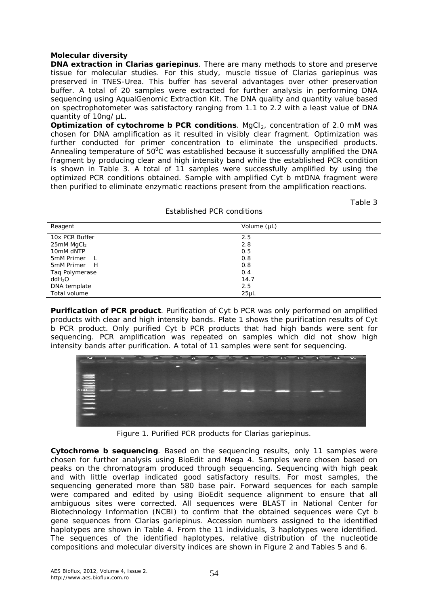#### **Molecular diversity**

*DNA extraction in Clarias gariepinus.* There are many methods to store and preserve tissue for molecular studies. For this study, muscle tissue of *Clarias gariepinus* was preserved in TNES-Urea. This buffer has several advantages over other preservation buffer. A total of 20 samples were extracted for further analysis in performing DNA sequencing using AqualGenomic Extraction Kit. The DNA quality and quantity value based on spectrophotometer was satisfactory ranging from 1.1 to 2.2 with a least value of DNA quantity of 10ng/ µL.

**Optimization of cytochrome b PCR conditions***.* MgCI<sub>2</sub>, concentration of 2.0 mM was chosen for DNA amplification as it resulted in visibly clear fragment. Optimization was further conducted for primer concentration to eliminate the unspecified products. Annealing temperature of  $50^{\circ}$ C was established because it successfully amplified the DNA fragment by producing clear and high intensity band while the established PCR condition is shown in Table 3. A total of 11 samples were successfully amplified by using the optimized PCR conditions obtained. Sample with amplified Cyt b mtDNA fragment were then purified to eliminate enzymatic reactions present from the amplification reactions.

Table 3 and 3 and 3 and 3 and 3 and 3 and 3 and 3 and 3 and 3 and 3 and 3 and 3 and 3 and 3 and 3 and 3 and 3  $\pm$ 

| Reagent                  | Volume (µL)     |  |  |  |
|--------------------------|-----------------|--|--|--|
| 10x PCR Buffer           | 2.5             |  |  |  |
| $25mM$ MgCl <sub>2</sub> | 2.8             |  |  |  |
| 10mM dNTP                | 0.5             |  |  |  |
| 5mM Primer               | 0.8             |  |  |  |
| 5mM Primer H             | 0.8             |  |  |  |
| Taq Polymerase           | 0.4             |  |  |  |
| ddH <sub>2</sub> O       | 14.7            |  |  |  |
| DNA template             | 2.5             |  |  |  |
| Total volume             | 25 <sub>µ</sub> |  |  |  |

Established PCR conditions

**Purification of PCR product**. Purification of Cyt b PCR was only performed on amplified products with clear and high intensity bands. Plate 1 shows the purification results of Cyt b PCR product. Only purified Cyt b PCR products that had high bands were sent for sequencing. PCR amplification was repeated on samples which did not show high intensity bands after purification. A total of 11 samples were sent for sequencing.



Figure 1. Purified PCR products for *Clarias gariepinus.*

*Cytochrome b sequencing.* Based on the sequencing results, only 11 samples were chosen for further analysis using BioEdit and Mega 4. Samples were chosen based on peaks on the chromatogram produced through sequencing. Sequencing with high peak and with little overlap indicated good satisfactory results. For most samples, the sequencing generated more than 580 base pair. Forward sequences for each sample were compared and edited by using BioEdit sequence alignment to ensure that all ambiguous sites were corrected. All sequences were BLAST in National Center for Biotechnology Information (NCBI) to confirm that the obtained sequences were Cyt b gene sequences from *Clarias gariepinus.* Accession numbers assigned to the identified haplotypes are shown in Table 4. From the 11 individuals, 3 haplotypes were identified. The sequences of the identified haplotypes, relative distribution of the nucleotide compositions and molecular diversity indices are shown in Figure 2 and Tables 5 and 6.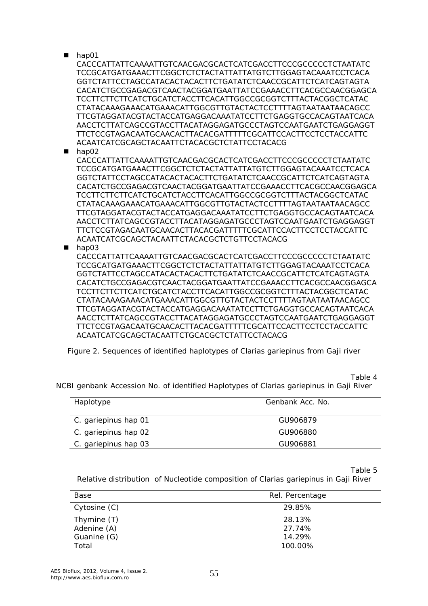#### nap01

CACCCATTATTCAAAATTGTCAACGACGCACTCATCGACCTTCCCGCCCCCTCTAATATC TCCGCATGATGAAACTTCGGCTCTCTACTATTATTATGTCTTGGAGTACAAATCCTCACA GGTCTATTCCTAGCCATACACTACACTTCTGATATCTCAACCGCATTCTCATCAGTAGTA CACATCTGCCGAGACGTCAACTACGGATGAATTATCCGAAACCTTCACGCCAACGGAGCA TCCTTCTTCTTCATCTGCATCTACCTTCACATTGGCCGCGGTCTTTACTACGGCTCATAC CTATACAAAGAAACATGAAACATTGGCGTTGTACTACTCCTTTTAGTAATAATAACAGCC TTCGTAGGATACGTACTACCATGAGGACAAATATCCTTCTGAGGTGCCACAGTAATCACA AACCTCTTATCAGCCGTACCTTACATAGGAGATGCCCTAGTCCAATGAATCTGAGGAGGT TTCTCCGTAGACAATGCAACACTTACACGATTTTTCGCATTCCACTTCCTCCTACCATTC ACAATCATCGCAGCTACAATTCTACACGCTCTATTCCTACACG

nap02

CACCCATTATTCAAAATTGTCAACGACGCACTCATCGACCTTCCCGCCCCCTCTAATATC TCCGCATGATGAAACTTCGGCTCTCTACTATTATTATGTCTTGGAGTACAAATCCTCACA GGTCTATTCCTAGCCATACACTACACTTCTGATATCTCAACCGCATTCTCATCAGTAGTA CACATCTGCCGAGACGTCAACTACGGATGAATTATCCGAAACCTTCACGCCAACGGAGCA TCCTTCTTCTTCATCTGCATCTACCTTCACATTGGCCGCGGTCTTTACTACGGCTCATAC CTATACAAAGAAACATGAAACATTGGCGTTGTACTACTCCTTTTAGTAATAATAACAGCC TTCGTAGGATACGTACTACCATGAGGACAAATATCCTTCTGAGGTGCCACAGTAATCACA AACCTCTTATCAGCCGTACCTTACATAGGAGATGCCCTAGTCCAATGAATCTGAGGAGGT TTCTCCGTAGACAATGCAACACTTACACGATTTTTCGCATTCCACTTCCTCCTACCATTC ACAATCATCGCAGCTACAATTCTACACGCTCTGTTCCTACACG

nap03 CACCCATTATTCAAAATTGTCAACGACGCACTCATCGACCTTCCCGCCCCCTCTAATATC TCCGCATGATGAAACTTCGGCTCTCTACTATTATTATGTCTTGGAGTACAAATCCTCACA GGTCTATTCCTAGCCATACACTACACTTCTGATATCTCAACCGCATTCTCATCAGTAGTA CACATCTGCCGAGACGTCAACTACGGATGAATTATCCGAAACCTTCACGCCAACGGAGCA TCCTTCTTCTTCATCTGCATCTACCTTCACATTGGCCGCGGTCTTTACTACGGCTCATAC CTATACAAAGAAACATGAAACATTGGCGTTGTACTACTCCTTTTAGTAATAATAACAGCC TTCGTAGGATACGTACTACCATGAGGACAAATATCCTTCTGAGGTGCCACAGTAATCACA AACCTCTTATCAGCCGTACCTTACATAGGAGATGCCCTAGTCCAATGAATCTGAGGAGGT TTCTCCGTAGACAATGCAACACTTACACGATTTTTCGCATTCCACTTCCTCCTACCATTC ACAATCATCGCAGCTACAATTCTGCACGCTCTATTCCTACACG

Figure 2. Sequences of identified haplotypes of *Clarias gariepinus* from Gaji river

Table 4

NCBI genbank Accession No. of identified Haplotypes of *Clarias gariepinus* in Gaji River

| Haplotype            | Genbank Acc. No. |  |  |  |  |  |  |
|----------------------|------------------|--|--|--|--|--|--|
|                      |                  |  |  |  |  |  |  |
| C. gariepinus hap 01 | GU906879         |  |  |  |  |  |  |
| C. gariepinus hap 02 | GU906880         |  |  |  |  |  |  |
| C. gariepinus hap 03 | GU906881         |  |  |  |  |  |  |

Table 5

Relative distribution of Nucleotide composition of *Clarias gariepinus* in Gaji River

| Base                       | Rel. Percentage  |
|----------------------------|------------------|
| Cytosine (C)               | 29.85%           |
| Thymine (T)<br>Adenine (A) | 28.13%<br>27.74% |
| Guanine (G)                | 14.29%           |
| Total                      | 100.00%          |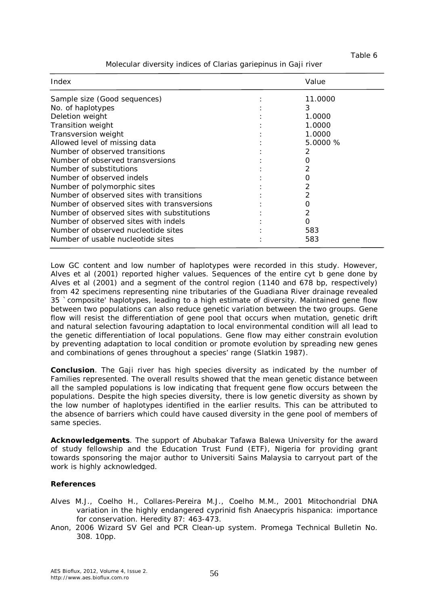Table 6

| Index                                       | Value    |  |
|---------------------------------------------|----------|--|
| Sample size (Good sequences)                | 11.0000  |  |
| No. of haplotypes                           | 3        |  |
| Deletion weight                             | 1.0000   |  |
| Transition weight                           | 1.0000   |  |
| Transversion weight                         | 1.0000   |  |
| Allowed level of missing data               | 5.0000 % |  |
| Number of observed transitions              | 2        |  |
| Number of observed transversions            | O        |  |
| Number of substitutions                     | 2        |  |
| Number of observed indels                   |          |  |
| Number of polymorphic sites                 | 2        |  |
| Number of observed sites with transitions   |          |  |
| Number of observed sites with transversions |          |  |
| Number of observed sites with substitutions | 2        |  |
| Number of observed sites with indels        | Ω        |  |
| Number of observed nucleotide sites         | 583      |  |
| Number of usable nucleotide sites           | 583      |  |

Molecular diversity indices of *Clarias gariepinus* in Gaji river

Low GC content and low number of haplotypes were recorded in this study. However, Alves et al (2001) reported higher values. Sequences of the entire cyt b gene done by Alves et al (2001) and a segment of the control region (1140 and 678 bp, respectively) from 42 specimens representing nine tributaries of the Guadiana River drainage revealed 35 `composite' haplotypes, leading to a high estimate of diversity. Maintained gene flow between two populations can also reduce genetic variation between the two groups. Gene flow will resist the differentiation of gene pool that occurs when mutation, genetic drift and natural selection favouring adaptation to local environmental condition will all lead to the genetic differentiation of local populations. Gene flow may either constrain evolution by preventing adaptation to local condition or promote evolution by spreading new genes and combinations of genes throughout a species' range (Slatkin 1987).

**Conclusion**. The Gaji river has high species diversity as indicated by the number of Families represented. The overall results showed that the mean genetic distance between all the sampled populations is low indicating that frequent gene flow occurs between the populations. Despite the high species diversity, there is low genetic diversity as shown by the low number of haplotypes identified in the earlier results. This can be attributed to the absence of barriers which could have caused diversity in the gene pool of members of same species.

**Acknowledgements**. The support of Abubakar Tafawa Balewa University for the award of study fellowship and the Education Trust Fund (ETF), Nigeria for providing grant towards sponsoring the major author to Universiti Sains Malaysia to carryout part of the work is highly acknowledged.

#### **References**

- Alves M.J., Coelho H., Collares-Pereira M.J., Coelho M.M., 2001 Mitochondrial DNA variation in the highly endangered cyprinid fish *Anaecypris hispanica*: importance for conservation. Heredity 87: 463-473.
- Anon, 2006 Wizard SV Gel and PCR Clean-up system. Promega Technical Bulletin No. 308. 10pp.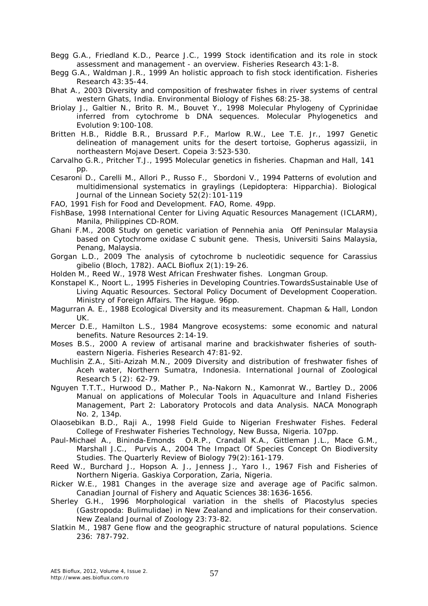- Begg G.A., Friedland K.D., Pearce J.C., 1999 Stock identification and its role in stock assessment and management - an overview. Fisheries Research 43:1-8.
- Begg G.A., Waldman J.R., 1999 An holistic approach to fish stock identification. Fisheries Research 43:35-44.
- Bhat A., 2003 Diversity and composition of freshwater fishes in river systems of central western Ghats, India. Environmental Biology of Fishes 68:25-38.
- Briolay J., Galtier N., Brito R. M., Bouvet Y., 1998 Molecular Phylogeny of Cyprinidae inferred from cytochrome b DNA sequences. Molecular Phylogenetics and Evolution 9:100-108.
- Britten H.B., Riddle B.R., Brussard P.F., Marlow R.W., Lee T.E. Jr., 1997 Genetic delineation of management units for the desert tortoise, *Gopherus agassizii*, in northeastern Mojave Desert. Copeia 3:523-530.
- Carvalho G.R., Pritcher T.J., 1995 Molecular genetics in fisheries. Chapman and Hall, 141 pp.
- Cesaroni D., Carelli M., Allori P., Russo F., Sbordoni V., 1994 Patterns of evolution and multidimensional systematics in graylings (Lepidoptera: Hipparchia). Biological Journal of the Linnean Society 52(2): 101-119
- FAO, 1991 Fish for Food and Development*.* FAO, Rome. 49pp.
- FishBase, 1998 International Center for Living Aquatic Resources Management (ICLARM), Manila, Philippines CD-ROM.
- Ghani F.M., 2008 Study on genetic variation of *Pennehia ania* Off Peninsular Malaysia based on Cytochrome oxidase C subunit gene. Thesis, Universiti Sains Malaysia, Penang, Malaysia.
- Gorgan L.D., 2009 The analysis of cytochrome b nucleotidic sequence for *Carassius gibelio* (Bloch, 1782). AACL Bioflux 2(1):19-26.
- Holden M., Reed W., 1978 West African Freshwater fishes. Longman Group.
- Konstapel K., Noort L., 1995 Fisheries in Developing Countries.TowardsSustainable Use of Living Aquatic Resources. Sectoral Policy Document of Development Cooperation. Ministry of Foreign Affairs. The Hague. 96pp.
- Magurran A. E., 1988 Ecological Diversity and its measurement. Chapman & Hall, London UK.
- Mercer D.E., Hamilton L.S., 1984 Mangrove ecosystems: some economic and natural benefits. Nature Resources 2:14-19.
- Moses B.S., 2000 A review of artisanal marine and brackishwater fisheries of southeastern Nigeria. Fisheries Research 47:81-92.
- Muchlisin Z.A., Siti-Azizah M.N., 2009 Diversity and distribution of freshwater fishes of Aceh water, Northern Sumatra, Indonesia. International Journal of Zoological Research 5 (2): 62-79.
- Nguyen T.T.T., Hurwood D., Mather P., Na-Nakorn N., Kamonrat W., Bartley D., 2006 Manual on applications of Molecular Tools in Aquaculture and Inland Fisheries Management, Part 2: Laboratory Protocols and data Analysis. NACA Monograph No. 2, 134p.
- Olaosebikan B.D., Raji A., 1998 Field Guide to Nigerian Freshwater Fishes. Federal College of Freshwater Fisheries Technology, New Bussa, Nigeria. 107pp.
- Paul-Michael A., Bininda-Emonds O.R.P., Crandall K.A., Gittleman J.L., Mace G.M., Marshall J.C., Purvis A., 2004 The Impact Of Species Concept On Biodiversity Studies. The Quarterly Review of Biology 79(2):161-179.
- Reed W., Burchard J., Hopson A. J., Jenness J., Yaro I., 1967 Fish and Fisheries of Northern Nigeria. Gaskiya Corporation, Zaria, Nigeria.
- Ricker W.E., 1981 Changes in the average size and average age of Pacific salmon. Canadian Journal of Fishery and Aquatic Sciences 38:1636-1656.
- Sherley G.H., 1996 Morphological variation in the shells of *Placostylus* species (Gastropoda: Bulimulidae) in New Zealand and implications for their conservation. New Zealand Journal of Zoology 23:73-82.
- Slatkin M., 1987 Gene flow and the geographic structure of natural populations. Science 236: 787-792.